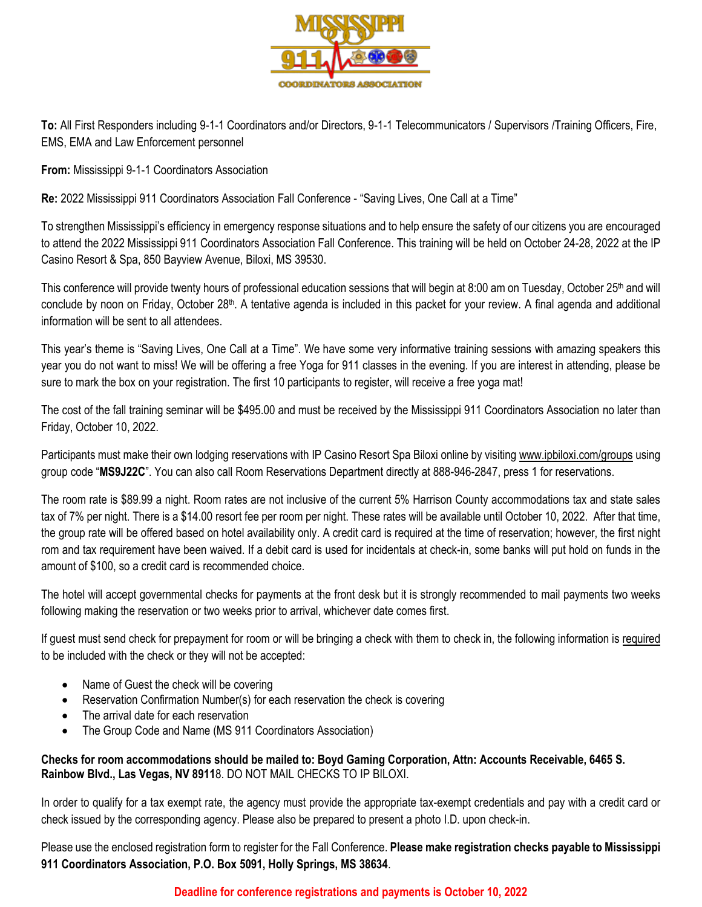

**To:** All First Responders including 9-1-1 Coordinators and/or Directors, 9-1-1 Telecommunicators / Supervisors /Training Officers, Fire, EMS, EMA and Law Enforcement personnel

**From:** Mississippi 9-1-1 Coordinators Association

Re: 2022 Mississippi 911 Coordinators Association Fall Conference - "Saving Lives, One Call at a Time"

To strengthen Mississippi's efficiency in emergency response situations and to help ensure the safety of our citizens you are encouraged to attend the 2022 Mississippi 911 Coordinators Association Fall Conference. This training will be held on October 24-28, 2022 at the IP Casino Resort & Spa, 850 Bayview Avenue, Biloxi, MS 39530.

This conference will provide twenty hours of professional education sessions that will begin at 8:00 am on Tuesday, October 25<sup>th</sup> and will conclude by noon on Friday, October 28<sup>th</sup>. A tentative agenda is included in this packet for your review. A final agenda and additional information will be sent to all attendees.

This year's theme is "Saving Lives, One Call at a Time". We have some very informative training sessions with amazing speakers this year you do not want to miss! We will be offering a free Yoga for 911 classes in the evening. If you are interest in attending, please be sure to mark the box on your registration. The first 10 participants to register, will receive a free yoga mat!

The cost of the fall training seminar will be \$495.00 and must be received by the Mississippi 911 Coordinators Association no later than Friday, October 10, 2022.

Participants must make their own lodging reservations with IP Casino Resort Spa Biloxi online by visiting www.ipbiloxi.com/groups using group code "**MS9J22C**". You can also call Room Reservations Department directly at 888-946-2847, press 1 for reservations.

The room rate is \$89.99 a night. Room rates are not inclusive of the current 5% Harrison County accommodations tax and state sales tax of 7% per night. There is a \$14.00 resort fee per room per night. These rates will be available until October 10, 2022. After that time, the group rate will be offered based on hotel availability only. A credit card is required at the time of reservation; however, the first night rom and tax requirement have been waived. If a debit card is used for incidentals at check-in, some banks will put hold on funds in the amount of \$100, so a credit card is recommended choice.

The hotel will accept governmental checks for payments at the front desk but it is strongly recommended to mail payments two weeks following making the reservation or two weeks prior to arrival, whichever date comes first.

If guest must send check for prepayment for room or will be bringing a check with them to check in, the following information is required to be included with the check or they will not be accepted:

- Name of Guest the check will be covering
- Reservation Confirmation Number(s) for each reservation the check is covering
- The arrival date for each reservation
- The Group Code and Name (MS 911 Coordinators Association)

**Checks for room accommodations should be mailed to: Boyd Gaming Corporation, Attn: Accounts Receivable, 6465 S. Rainbow Blvd., Las Vegas, NV 8911**8. DO NOT MAIL CHECKS TO IP BILOXI.

In order to qualify for a tax exempt rate, the agency must provide the appropriate tax-exempt credentials and pay with a credit card or check issued by the corresponding agency. Please also be prepared to present a photo I.D. upon check-in.

Please use the enclosed registration form to register for the Fall Conference. **Please make registration checks payable to Mississippi 911 Coordinators Association, P.O. Box 5091, Holly Springs, MS 38634**.

## **Deadline for conference registrations and payments is October 10, 2022**